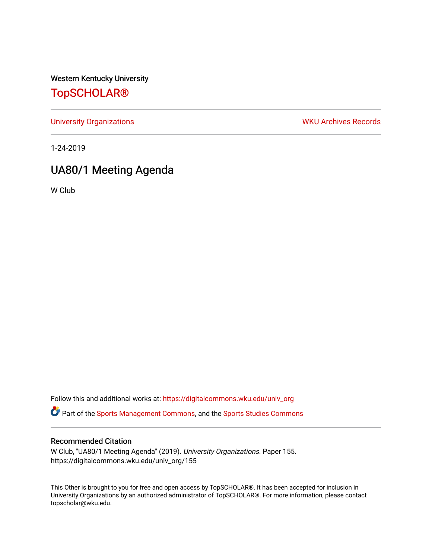Western Kentucky University

# [TopSCHOLAR®](https://digitalcommons.wku.edu/)

[University Organizations](https://digitalcommons.wku.edu/univ_org) **WKU Archives Records** 

1-24-2019

# UA80/1 Meeting Agenda

W Club

Follow this and additional works at: [https://digitalcommons.wku.edu/univ\\_org](https://digitalcommons.wku.edu/univ_org?utm_source=digitalcommons.wku.edu%2Funiv_org%2F155&utm_medium=PDF&utm_campaign=PDFCoverPages) 

**C** Part of the [Sports Management Commons](http://network.bepress.com/hgg/discipline/1193?utm_source=digitalcommons.wku.edu%2Funiv_org%2F155&utm_medium=PDF&utm_campaign=PDFCoverPages), and the [Sports Studies Commons](http://network.bepress.com/hgg/discipline/1198?utm_source=digitalcommons.wku.edu%2Funiv_org%2F155&utm_medium=PDF&utm_campaign=PDFCoverPages)

#### Recommended Citation

W Club, "UA80/1 Meeting Agenda" (2019). University Organizations. Paper 155. https://digitalcommons.wku.edu/univ\_org/155

This Other is brought to you for free and open access by TopSCHOLAR®. It has been accepted for inclusion in University Organizations by an authorized administrator of TopSCHOLAR®. For more information, please contact topscholar@wku.edu.